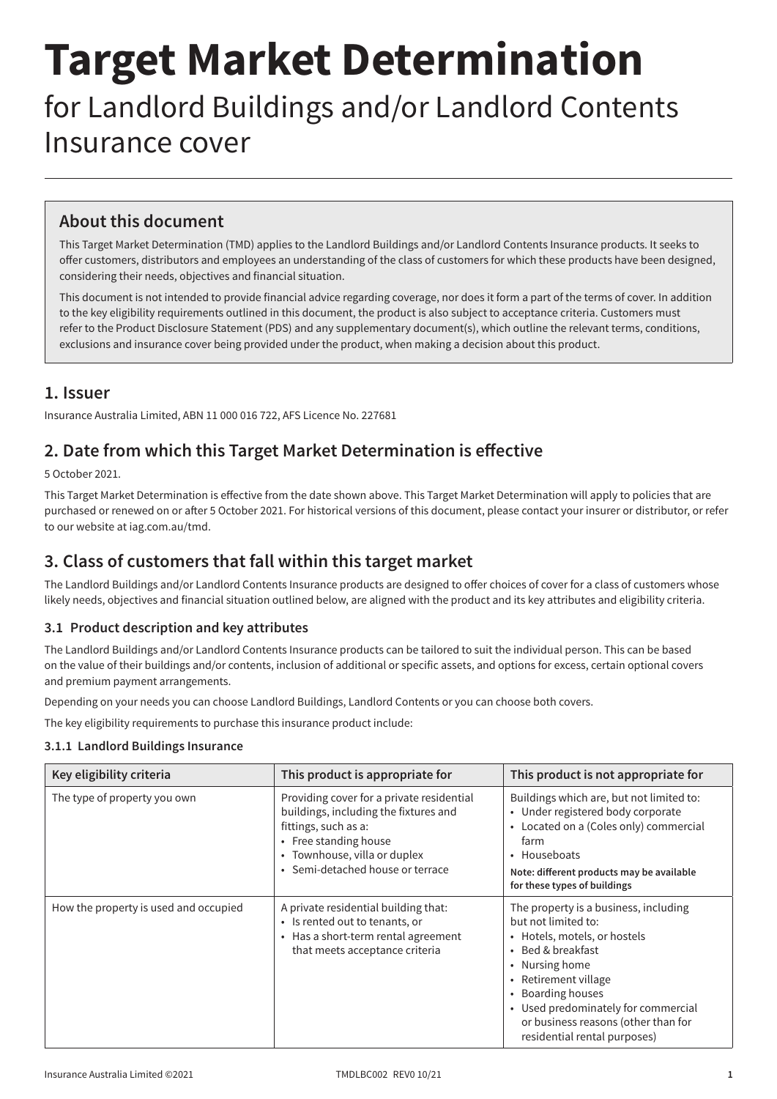# **Target Market Determination**

# for Landlord Buildings and/or Landlord Contents Insurance cover

# **About this document**

This Target Market Determination (TMD) applies to the Landlord Buildings and/or Landlord Contents Insurance products. It seeks to offer customers, distributors and employees an understanding of the class of customers for which these products have been designed, considering their needs, objectives and financial situation.

This document is not intended to provide financial advice regarding coverage, nor does it form a part of the terms of cover. In addition to the key eligibility requirements outlined in this document, the product is also subject to acceptance criteria. Customers must refer to the Product Disclosure Statement (PDS) and any supplementary document(s), which outline the relevant terms, conditions, exclusions and insurance cover being provided under the product, when making a decision about this product.

### **1. Issuer**

Insurance Australia Limited, ABN 11 000 016 722, AFS Licence No. 227681

# **2. Date from which this Target Market Determination is effective**

5 October 2021.

This Target Market Determination is effective from the date shown above. This Target Market Determination will apply to policies that are purchased or renewed on or after 5 October 2021. For historical versions of this document, please contact your insurer or distributor, or refer to our website at [iag.com.au/tmd](https://www.iag.com.au/tmd).

# **3. Class of customers that fall within this target market**

The Landlord Buildings and/or Landlord Contents Insurance products are designed to offer choices of cover for a class of customers whose likely needs, objectives and financial situation outlined below, are aligned with the product and its key attributes and eligibility criteria.

#### **3.1 Product description and key attributes**

The Landlord Buildings and/or Landlord Contents Insurance products can be tailored to suit the individual person. This can be based on the value of their buildings and/or contents, inclusion of additional or specific assets, and options for excess, certain optional covers and premium payment arrangements.

Depending on your needs you can choose Landlord Buildings, Landlord Contents or you can choose both covers.

The key eligibility requirements to purchase this insurance product include:

#### **3.1.1 Landlord Buildings Insurance**

| Key eligibility criteria              | This product is appropriate for                                                                                                                                                                         | This product is not appropriate for                                                                                                                                                                                                                                                                                   |
|---------------------------------------|---------------------------------------------------------------------------------------------------------------------------------------------------------------------------------------------------------|-----------------------------------------------------------------------------------------------------------------------------------------------------------------------------------------------------------------------------------------------------------------------------------------------------------------------|
| The type of property you own          | Providing cover for a private residential<br>buildings, including the fixtures and<br>fittings, such as a:<br>• Free standing house<br>• Townhouse, villa or duplex<br>• Semi-detached house or terrace | Buildings which are, but not limited to:<br>• Under registered body corporate<br>Located on a (Coles only) commercial<br>farm<br>• Houseboats<br>Note: different products may be available<br>for these types of buildings                                                                                            |
| How the property is used and occupied | A private residential building that:<br>• Is rented out to tenants, or<br>• Has a short-term rental agreement<br>that meets acceptance criteria                                                         | The property is a business, including<br>but not limited to:<br>• Hotels, motels, or hostels<br>Bed & breakfast<br>Nursing home<br>$\bullet$<br>Retirement village<br>$\bullet$<br><b>Boarding houses</b><br>Used predominately for commercial<br>or business reasons (other than for<br>residential rental purposes) |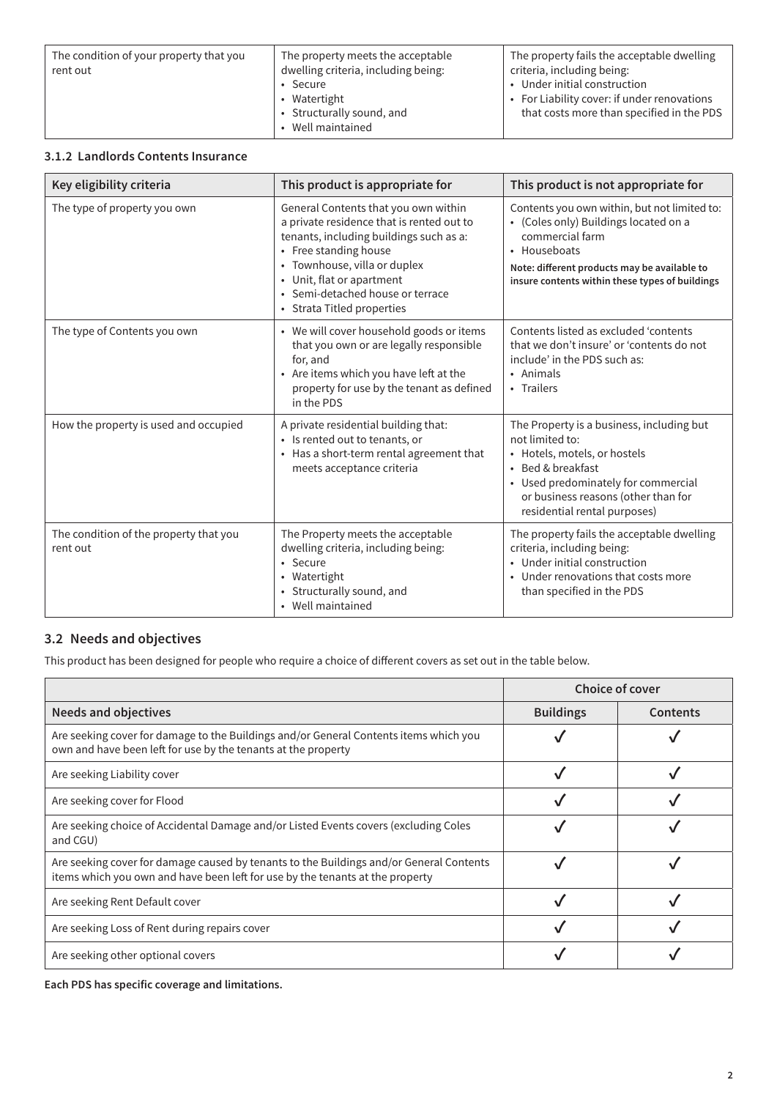| The condition of your property that you | The property meets the acceptable                                                | The property fails the acceptable dwelling                                                                               |
|-----------------------------------------|----------------------------------------------------------------------------------|--------------------------------------------------------------------------------------------------------------------------|
| rent out                                | dwelling criteria, including being:                                              | criteria, including being:                                                                                               |
|                                         | $\cdot$ Secure<br>• Watertight<br>• Structurally sound, and<br>• Well maintained | • Under initial construction<br>• For Liability cover: if under renovations<br>that costs more than specified in the PDS |

#### **3.1.2 Landlords Contents Insurance**

| Key eligibility criteria                           | This product is appropriate for                                                                                                                                                                                                                                                      | This product is not appropriate for                                                                                                                                                                                             |
|----------------------------------------------------|--------------------------------------------------------------------------------------------------------------------------------------------------------------------------------------------------------------------------------------------------------------------------------------|---------------------------------------------------------------------------------------------------------------------------------------------------------------------------------------------------------------------------------|
| The type of property you own                       | General Contents that you own within<br>a private residence that is rented out to<br>tenants, including buildings such as a:<br>• Free standing house<br>• Townhouse, villa or duplex<br>• Unit, flat or apartment<br>• Semi-detached house or terrace<br>• Strata Titled properties | Contents you own within, but not limited to:<br>• (Coles only) Buildings located on a<br>commercial farm<br>• Houseboats<br>Note: different products may be available to<br>insure contents within these types of buildings     |
| The type of Contents you own                       | • We will cover household goods or items<br>that you own or are legally responsible<br>for, and<br>• Are items which you have left at the<br>property for use by the tenant as defined<br>in the PDS                                                                                 | Contents listed as excluded 'contents<br>that we don't insure' or 'contents do not<br>include' in the PDS such as:<br>• Animals<br>• Trailers                                                                                   |
| How the property is used and occupied              | A private residential building that:<br>• Is rented out to tenants, or<br>• Has a short-term rental agreement that<br>meets acceptance criteria                                                                                                                                      | The Property is a business, including but<br>not limited to:<br>• Hotels, motels, or hostels<br>• Bed & breakfast<br>• Used predominately for commercial<br>or business reasons (other than for<br>residential rental purposes) |
| The condition of the property that you<br>rent out | The Property meets the acceptable<br>dwelling criteria, including being:<br>• Secure<br>• Watertight<br>• Structurally sound, and<br>• Well maintained                                                                                                                               | The property fails the acceptable dwelling<br>criteria, including being:<br>• Under initial construction<br>• Under renovations that costs more<br>than specified in the PDS                                                    |

#### **3.2 Needs and objectives**

This product has been designed for people who require a choice of different covers as set out in the table below.

|                                                                                                                                                                          |                  | <b>Choice of cover</b> |
|--------------------------------------------------------------------------------------------------------------------------------------------------------------------------|------------------|------------------------|
| <b>Needs and objectives</b>                                                                                                                                              | <b>Buildings</b> | <b>Contents</b>        |
| Are seeking cover for damage to the Buildings and/or General Contents items which you<br>own and have been left for use by the tenants at the property                   |                  |                        |
| Are seeking Liability cover                                                                                                                                              |                  |                        |
| Are seeking cover for Flood                                                                                                                                              |                  |                        |
| Are seeking choice of Accidental Damage and/or Listed Events covers (excluding Coles<br>and CGU)                                                                         |                  |                        |
| Are seeking cover for damage caused by tenants to the Buildings and/or General Contents<br>items which you own and have been left for use by the tenants at the property |                  |                        |
| Are seeking Rent Default cover                                                                                                                                           |                  |                        |
| Are seeking Loss of Rent during repairs cover                                                                                                                            |                  |                        |
| Are seeking other optional covers                                                                                                                                        |                  |                        |

**Each PDS has specific coverage and limitations.**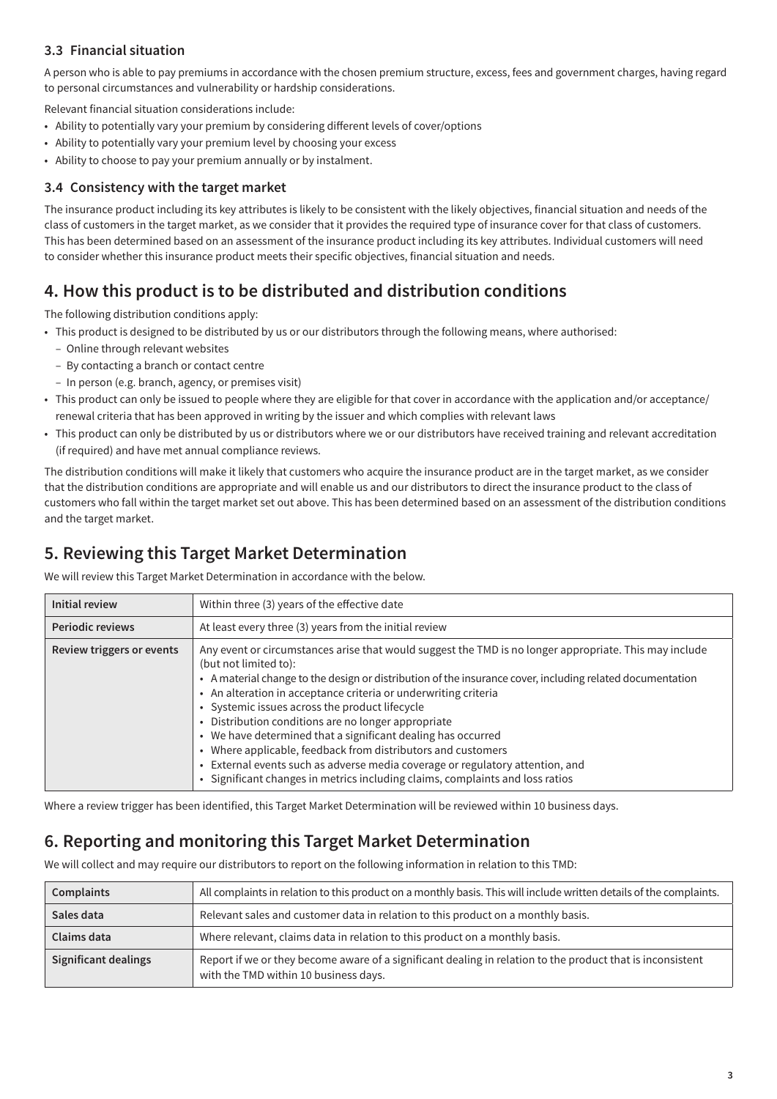#### **3.3 Financial situation**

A person who is able to pay premiums in accordance with the chosen premium structure, excess, fees and government charges, having regard to personal circumstances and vulnerability or hardship considerations.

Relevant financial situation considerations include:

- Ability to potentially vary your premium by considering different levels of cover/options
- Ability to potentially vary your premium level by choosing your excess
- Ability to choose to pay your premium annually or by instalment.

#### **3.4 Consistency with the target market**

The insurance product including its key attributes is likely to be consistent with the likely objectives, financial situation and needs of the class of customers in the target market, as we consider that it provides the required type of insurance cover for that class of customers. This has been determined based on an assessment of the insurance product including its key attributes. Individual customers will need to consider whether this insurance product meets their specific objectives, financial situation and needs.

# **4. How this product is to be distributed and distribution conditions**

The following distribution conditions apply:

- This product is designed to be distributed by us or our distributors through the following means, where authorised:
	- Online through relevant websites
	- By contacting a branch or contact centre
	- In person (e.g. branch, agency, or premises visit)
- This product can only be issued to people where they are eligible for that cover in accordance with the application and/or acceptance/ renewal criteria that has been approved in writing by the issuer and which complies with relevant laws
- This product can only be distributed by us or distributors where we or our distributors have received training and relevant accreditation (if required) and have met annual compliance reviews.

The distribution conditions will make it likely that customers who acquire the insurance product are in the target market, as we consider that the distribution conditions are appropriate and will enable us and our distributors to direct the insurance product to the class of customers who fall within the target market set out above. This has been determined based on an assessment of the distribution conditions and the target market.

# **5. Reviewing this Target Market Determination**

We will review this Target Market Determination in accordance with the below.

| <b>Initial review</b>     | Within three (3) years of the effective date                                                                                                                                                                                                                                                                                                                                                                                                                                                                                                                                                                                                                                                                               |
|---------------------------|----------------------------------------------------------------------------------------------------------------------------------------------------------------------------------------------------------------------------------------------------------------------------------------------------------------------------------------------------------------------------------------------------------------------------------------------------------------------------------------------------------------------------------------------------------------------------------------------------------------------------------------------------------------------------------------------------------------------------|
| <b>Periodic reviews</b>   | At least every three (3) years from the initial review                                                                                                                                                                                                                                                                                                                                                                                                                                                                                                                                                                                                                                                                     |
| Review triggers or events | Any event or circumstances arise that would suggest the TMD is no longer appropriate. This may include<br>(but not limited to):<br>• A material change to the design or distribution of the insurance cover, including related documentation<br>• An alteration in acceptance criteria or underwriting criteria<br>• Systemic issues across the product lifecycle<br>• Distribution conditions are no longer appropriate<br>• We have determined that a significant dealing has occurred<br>• Where applicable, feedback from distributors and customers<br>• External events such as adverse media coverage or regulatory attention, and<br>• Significant changes in metrics including claims, complaints and loss ratios |

Where a review trigger has been identified, this Target Market Determination will be reviewed within 10 business days.

# **6. Reporting and monitoring this Target Market Determination**

We will collect and may require our distributors to report on the following information in relation to this TMD:

| <b>Complaints</b>           | All complaints in relation to this product on a monthly basis. This will include written details of the complaints.                                 |
|-----------------------------|-----------------------------------------------------------------------------------------------------------------------------------------------------|
| Sales data                  | Relevant sales and customer data in relation to this product on a monthly basis.                                                                    |
| Claims data                 | Where relevant, claims data in relation to this product on a monthly basis.                                                                         |
| <b>Significant dealings</b> | Report if we or they become aware of a significant dealing in relation to the product that is inconsistent<br>with the TMD within 10 business days. |